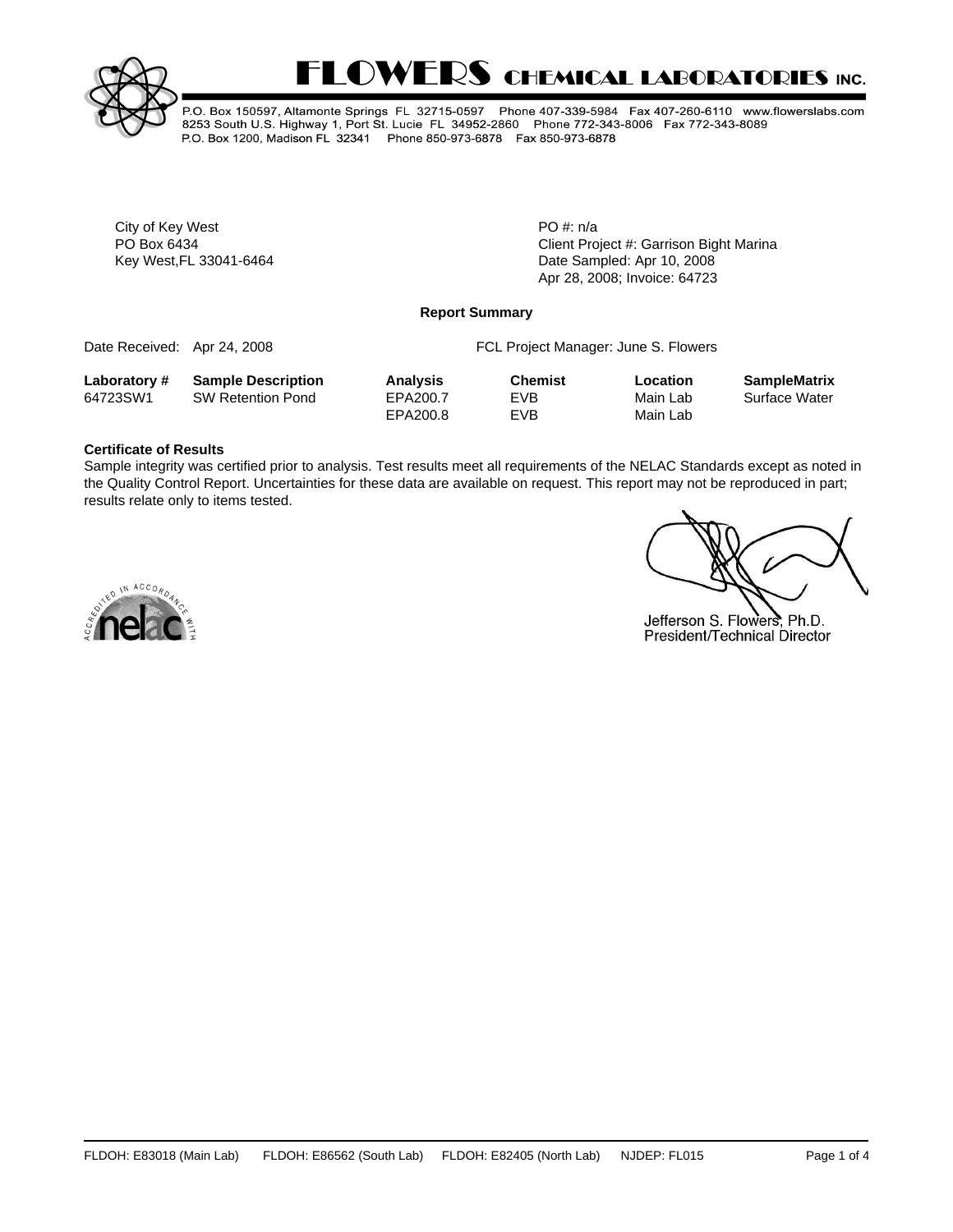



P.O. Box 150597, Altamonte Springs FL 32715-0597 Phone 407-339-5984 Fax 407-260-6110 www.flowerslabs.com 8253 South U.S. Highway 1, Port St. Lucie FL 34952-2860 Phone 772-343-8006 Fax 772-343-8089 P.O. Box 1200, Madison FL 32341 Phone 850-973-6878 Fax 850-973-6878

City of Key West PO #: n/a

Client Project #: Garrison Bight Marina Key West, FL 33041-6464 **Date Sampled: Apr 10, 2008** Date Sampled: Apr 10, 2008 Apr 28, 2008; Invoice: 64723

### **Report Summary**

Date Received: Apr 24, 2008 **FCL Project Manager: June S. Flowers** 

**Laboratory # Sample Description Analysis Chemist Location SampleMatrix**

|          | $\frac{1}{2}$            | .        | --------- | -------- |               |
|----------|--------------------------|----------|-----------|----------|---------------|
| 64723SW1 | <b>SW Retention Pond</b> | EPA200.7 | EVB       | Main Lab | Surface Water |
|          |                          | EPA200.8 | EVB       | Main Lab |               |

## **Certificate of Results**

Sample integrity was certified prior to analysis. Test results meet all requirements of the NELAC Standards except as noted in the Quality Control Report. Uncertainties for these data are available on request. This report may not be reproduced in part; results relate only to items tested.



Jefferson S. Flowers, Ph.D. President/Technical Director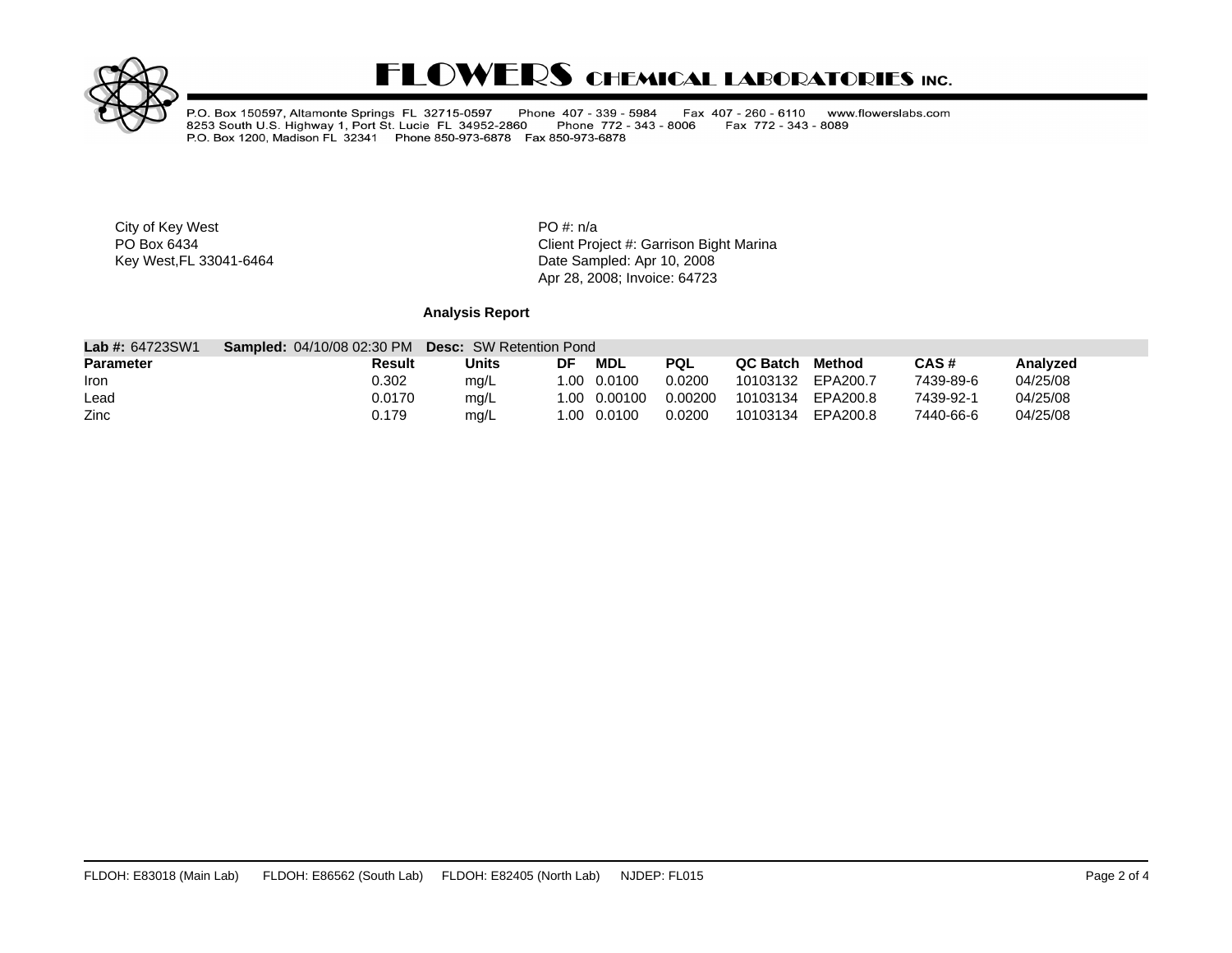

# **FLOWERS CHEMICAL LABORATORIES INC.**

P.O. Box 150597, Altamonte Springs FL 32715-0597 Phone 407 - 339 - 5984<br>8253 South U.S. Highway 1, Port St. Lucie FL 34952-2860 Phone 772 - 343<br>P.O. Box 1200, Madison FL 32341 Phone 850-973-6878 Fax 850-973-6878 Fax 407 - 260 - 6110 www.flowerslabs.com Phone 772 - 343 - 8006 Fax 772 - 343 - 8089

City of Key West **PO** #: n/a

PO Box 6434<br>
Rey West, FL 33041-6464<br>
Key West, FL 33041-6464<br>
Client Project #: Garrison Bight Marina Date Sampled: Apr 10, 2008 Apr 28, 2008; Invoice: 64723

## **Analysis Report**

| <b>Lab #: 64723SW1</b> | <b>Sampled: 04/10/08 02:30 PM</b> | <b>Desc:</b> SW Retention Pond |    |              |            |          |          |           |          |
|------------------------|-----------------------------------|--------------------------------|----|--------------|------------|----------|----------|-----------|----------|
| <b>Parameter</b>       | Result                            | Units                          | DF | MDL          | <b>PQL</b> | QC Batch | Method   | CAS#      | Analyzed |
| <b>Iron</b>            | 0.302                             | mg/L                           |    | 1.00 0.0100  | 0.0200     | 10103132 | EPA200.7 | 7439-89-6 | 04/25/08 |
| Lead                   | 0.0170                            | mq/L                           |    | 1.00 0.00100 | 0.00200    | 10103134 | EPA200.8 | 7439-92-1 | 04/25/08 |
| Zinc                   | ).179                             | mg/L                           |    | 1.00  0.0100 | 0.0200     | 10103134 | EPA200.8 | 7440-66-6 | 04/25/08 |

 $\mathcal{L}_{\mathcal{A}}$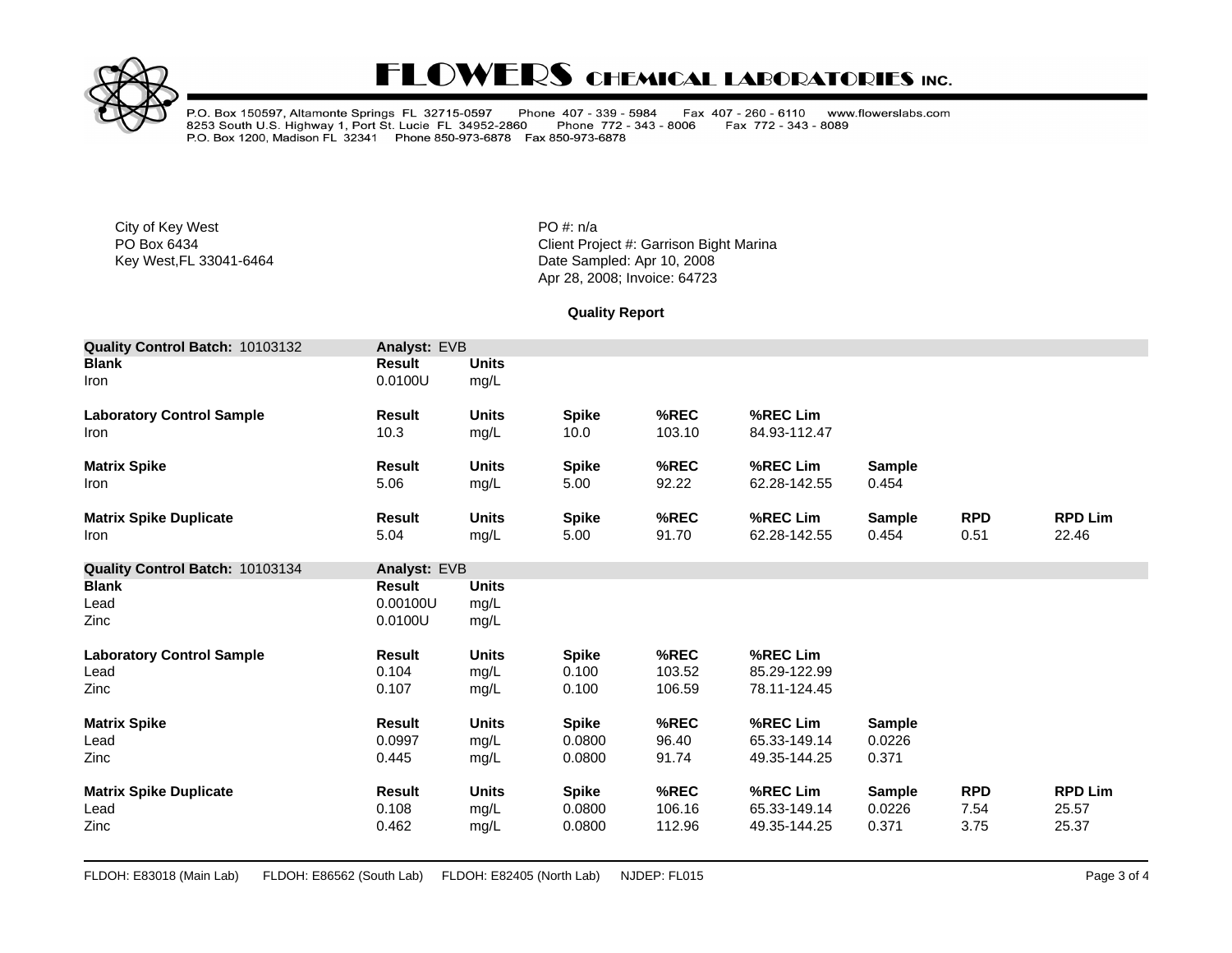

# **FLOWERS CHEMICAL LABORATORIES INC.**

P.O. Box 150597, Altamonte Springs FL 32715-0597 Phone 407 - 339 - 5984<br>8253 South U.S. Highway 1, Port St. Lucie FL 34952-2860 Phone 772 - 343<br>P.O. Box 1200, Madison FL 32341 Phone 850-973-6878 Fax 850-973-6878 Fax 407 - 260 - 6110 www.flowerslabs.com Phone 772 - 343 - 8006 Fax 772 - 343 - 8089

City of Key West **PO** #: n/a

PO Box 6434<br>
Rey West, FL 33041-6464<br>
Key West, FL 33041-6464<br>
Client Project #: Garrison Bight Marina Date Sampled: Apr 10, 2008 Apr 28, 2008; Invoice: 64723

**Quality Report**

| Quality Control Batch: 10103132  | Analyst: EVB  |              |              |        |              |               |            |                |
|----------------------------------|---------------|--------------|--------------|--------|--------------|---------------|------------|----------------|
| <b>Blank</b>                     | <b>Result</b> | <b>Units</b> |              |        |              |               |            |                |
| Iron                             | 0.0100U       | mg/L         |              |        |              |               |            |                |
| <b>Laboratory Control Sample</b> | <b>Result</b> | <b>Units</b> | <b>Spike</b> | %REC   | %REC Lim     |               |            |                |
| Iron                             | 10.3          | mg/L         | 10.0         | 103.10 | 84.93-112.47 |               |            |                |
| <b>Matrix Spike</b>              | <b>Result</b> | <b>Units</b> | <b>Spike</b> | %REC   | %REC Lim     | <b>Sample</b> |            |                |
| Iron                             | 5.06          | mg/L         | 5.00         | 92.22  | 62.28-142.55 | 0.454         |            |                |
| <b>Matrix Spike Duplicate</b>    | <b>Result</b> | <b>Units</b> | <b>Spike</b> | %REC   | %REC Lim     | <b>Sample</b> | <b>RPD</b> | <b>RPD Lim</b> |
| Iron                             | 5.04          | mg/L         | 5.00         | 91.70  | 62.28-142.55 | 0.454         | 0.51       | 22.46          |
| Quality Control Batch: 10103134  | Analyst: EVB  |              |              |        |              |               |            |                |
| <b>Blank</b>                     | <b>Result</b> | <b>Units</b> |              |        |              |               |            |                |
| Lead                             | 0.00100U      | mg/L         |              |        |              |               |            |                |
| <b>Zinc</b>                      | 0.0100U       | mg/L         |              |        |              |               |            |                |
| <b>Laboratory Control Sample</b> | <b>Result</b> | <b>Units</b> | <b>Spike</b> | %REC   | %REC Lim     |               |            |                |
| Lead                             | 0.104         | mg/L         | 0.100        | 103.52 | 85.29-122.99 |               |            |                |
| Zinc                             | 0.107         | mg/L         | 0.100        | 106.59 | 78.11-124.45 |               |            |                |
| <b>Matrix Spike</b>              | <b>Result</b> | <b>Units</b> | <b>Spike</b> | %REC   | %REC Lim     | <b>Sample</b> |            |                |
| Lead                             | 0.0997        | mg/L         | 0.0800       | 96.40  | 65.33-149.14 | 0.0226        |            |                |
| Zinc                             | 0.445         | mg/L         | 0.0800       | 91.74  | 49.35-144.25 | 0.371         |            |                |
| <b>Matrix Spike Duplicate</b>    | <b>Result</b> | <b>Units</b> | <b>Spike</b> | %REC   | %REC Lim     | <b>Sample</b> | <b>RPD</b> | <b>RPD Lim</b> |
| Lead                             | 0.108         | mg/L         | 0.0800       | 106.16 | 65.33-149.14 | 0.0226        | 7.54       | 25.57          |
| Zinc                             | 0.462         | mg/L         | 0.0800       | 112.96 | 49.35-144.25 | 0.371         | 3.75       | 25.37          |